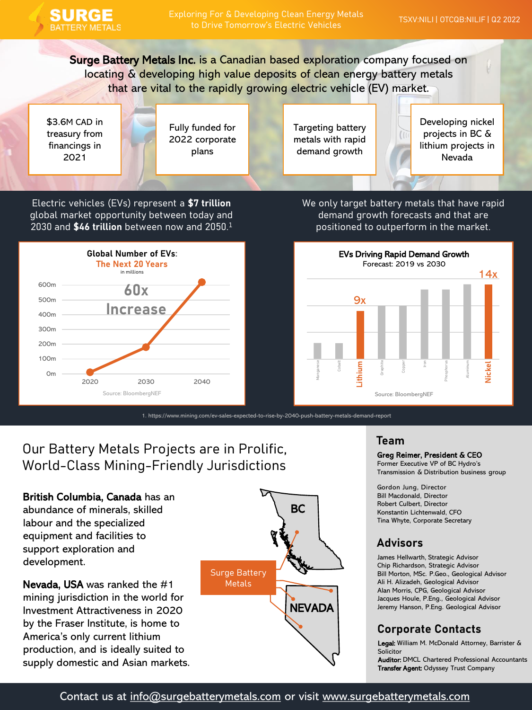

Surge Battery Metals Inc. is a Canadian based exploration company focused on locating & developing high value deposits of clean energy battery metals that are vital to the rapidly growing electric vehicle (EV) market.

\$3.6M CAD in treasury from financings in 2021

Fully funded for 2022 corporate plans

Targeting battery metals with rapid demand growth

Developing nickel projects in BC & lithium projects in Nevada

Electric vehicles (EVs) represent a **\$7 trillion** global market opportunity between today and 2030 and **\$46 trillion** between now and 2050.<sup>1</sup>



1. https://www.mining.com/ev-sales-expected-to-rise-by-2040-push-battery-metals-demand-report

Our Battery Metals Projects are in Prolific, World-Class Mining-Friendly Jurisdictions

British Columbia, Canada has an abundance of minerals, skilled labour and the specialized equipment and facilities to support exploration and development.

Nevada, USA was ranked the #1 mining jurisdiction in the world for Investment Attractiveness in 2020 by the Fraser Institute, is home to America's only current lithium production, and is ideally suited to supply domestic and Asian markets.



We only target battery metals that have rapid demand growth forecasts and that are positioned to outperform in the market.



### **Team**

Greg Reimer, President & CEO

Former Executive VP of BC Hydro's Transmission & Distribution business group

Gordon Jung, Director Bill Macdonald, Director Robert Culbert, Director Konstantin Lichtenwald, CFO Tina Whyte, Corporate Secretary

## **Advisors**

James Hellwarth, Strategic Advisor Chip Richardson, Strategic Advisor Bill Morton, MSc. P.Geo., Geological Advisor Ali H. Alizadeh, Geological Advisor Alan Morris, CPG, Geological Advisor Jacques Houle, P.Eng., Geological Advisor Jeremy Hanson, P.Eng. Geological Advisor

## **Corporate Contacts**

Legal: William M. McDonald Attorney, Barrister & Solicitor

Auditor: DMCL Chartered Professional Accountants Transfer Agent: Odyssey Trust Company

## Contact us at [info@surgebatterymetals.com](mailto:info@surgebatterymetals.com) or visit [www.surgebatterymetals.com](https://surgebatterymetals.com/)